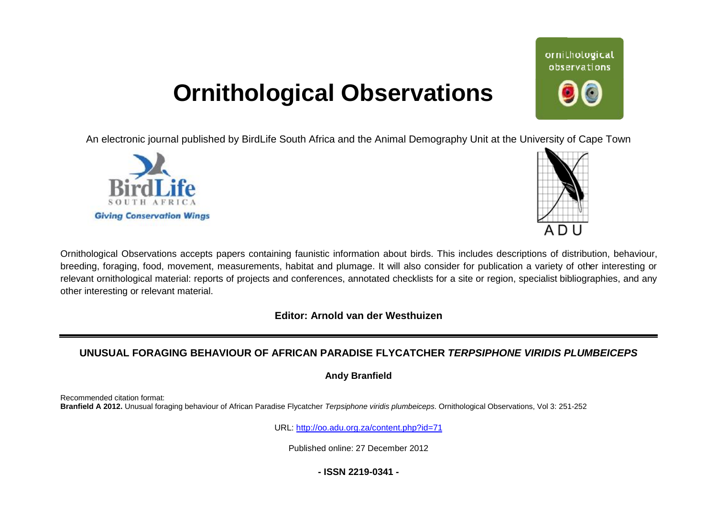## **Ornithological Observations**

An electronic journal published by BirdLife South Africa and the Animal Demography Unit at the University of Cape Town





ornithological observations

Ornithological Observations accepts papers containing faunistic information about birds. This includes descriptions of distribution, behaviour, breeding, foraging, food, movement, measurements, habitat and plumage. It will also consider for publication a variety of other interesting or relevant ornithological material: reports of projects and conferences, annotated checklists for a site or region, specialist bibliographies, and any other interesting or relevant material.

**Editor: Arnold van der Westhuizen**

## **UNUSUAL FORAGING BEHAVIOUR OF AFRICAN PARADISE FLYCATCHER** *TERPSIPHONE VIRIDIS PLUMBEICEPS*

**Andy Branfield** 

Recommended citation format: **Branfield A 2012.** Unusual foraging behaviour of African Paradise Flycatcher *Terpsiphone viridis plumbeiceps*. Ornithological Observations, Vol 3: 251 251-252

URL: <http://oo.adu.org.za/content.php?id=71>

Published online: 27 December 2012

**- ISSN 2219-0341 -**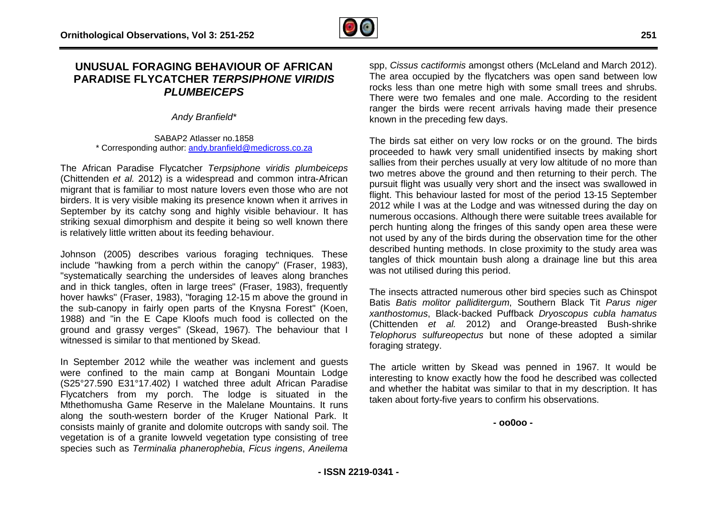## **UNUSUAL FORAGING BEHAVIOUR OF AFRICAN PARADISE FLYCATCHER** *TERPSIPHONE VIR VIRIDIS PLUMBEICEPS*

*Andy Branfield\**

SABAP2 Atlasser no. 1858 \* Corresponding author: [andy.branfield@medicross.co.za](mailto:andy.branfield@medicross.co.za)

The African Paradise Flycatcher *Terpsiphone viridis plumbeiceps*  (Chittenden et al. 2012) is a widespread and common intra-African migrant that is familiar to most nature lovers even those who are not birders. It is very visible making its presence known when it arrives in September by its catchy song and highly visible behaviour. It has striking sexual dimorphism and despite it being so well known there is relatively little written about its feeding behaviour. igrant that is familiar to most nature lovers even those who are not rders. It is very visible making its presence known when it arrives in eptember by its catchy song and highly visible behaviour. It has riking sexual dim

Johnson (2005) describes various foraging techniques include "hawking from a perch within the canopy" (Fraser, 1983), "systematically searching the undersides of leaves along branches "systematically searching the undersides of leaves along branches<br>and in thick tangles, often in large trees" (Fraser, 1983), frequently hover hawks" (Fraser, 1983), "foraging 12-15 m above the ground in the sub-canopy in fairly open parts of the Knysna Forest" (Koen, 1988) and "in the E Cape Kloofs much food is collected on the ground and grassy verges" (Skead, 1967). The behaviour that I witnessed is similar to that mentioned by Skead.

In September 2012 while the weather was inclement and guests were confined to the main camp at Bongani Mountain Lodge (S25°27.590 E31°17.402) I watched three adult African Paradise Flycatchers from my porch. The lodge is situated in the Mthethomusha Game Reserve in the Malelane Mountains. It runs along the south-western border of the Kruger National Park. It consists mainly of granite and dolomite outcrops with sandy soil. The vegetation is of a granite lowveld vegetation type consisting of tree species such as *Terminalia phanerophebia*, *Ficus ingens* . The behaviour that I<br>ad.<br>inclement and guests<br>ngani Mountain Lodge<br>adult African Paradise<br>a is situated in the<br>lane Mountains. It runs<br>ruger National Park. It<br>ops with sandy soil. The<br>itype consisting of tree<br>Ficus ingen

spp, *Cissus cactiformis* amongst others (McLeland and March 2012). The area occupied by the flycatchers was open sand between low rocks less than one metre high with some small trees and shrubs. There were two females and one male. According to the resident ranger the birds were recent arrivals having made their presence known in the preceding few days. gst others (McLeland and March 2012).<br>
ycatchers was open sand between low<br>
igh with some small trees and shrubs.<br>
d one male. According to the resident<br>
t arrivals having made their presence<br>
ays.<br>
low rocks or on the gro

The birds sat either on very low rocks or on the ground. The birds proceeded to hawk very small unidentified insects by making short sallies from their perches usually at very low altitude of no more than two metres above the ground and then returning to their perch. The pursuit flight was usually very short and the insect was swallowed in flight. This behaviour lasted for most of the period 13 13-15 September 2012 while I was at the Lodge and was witnessed during the day on numerous occasions. Although there were suitable trees available for perch hunting along the fringes of this sandy open area these were not used by any of the birds during the observation time for the other described hunting methods. In close proximity to the study area was tangles of thick mountain bush along a drainage line but this area was not utilised during this period.

The insects attracted numerous other bird species such as Chinspot Batis *Batis molitor palliditergum*, Southern Black Tit *Parus niger xanthostomus*, Black-backed Puffback *Dryoscopus cubla hamatus* (Chittenden et al. 2012) and Orange-breasted Bush-shrike *Telophorus sulfureopectus* but none of these adopted a similar foraging strategy.

The article written by Skead was penned in 1967 1967. It would be interesting to know exactly how the food he described was collected and whether the habitat was similar to that in my description. It has taken about forty-five years to confirm his observations.

**- oo0oo -**